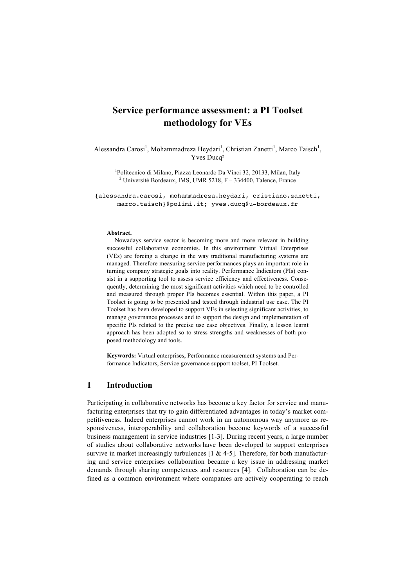# **Service performance assessment: a PI Toolset methodology for VEs**

Alessandra Carosi<sup>1</sup>, Mohammadreza Heydari<sup>1</sup>, Christian Zanetti<sup>1</sup>, Marco Taisch<sup>1</sup>, Yves Ducq²

<sup>1</sup>Politecnico di Milano, Piazza Leonardo Da Vinci 32, 20133, Milan, Italy  $2$  Université Bordeaux, IMS, UMR 5218, F – 334400, Talence, France

{alessandra.carosi, mohammadreza.heydari, cristiano.zanetti, marco.taisch}@polimi.it; yves.ducq@u-bordeaux.fr

### **Abstract.**

Nowadays service sector is becoming more and more relevant in building successful collaborative economies. In this environment Virtual Enterprises (VEs) are forcing a change in the way traditional manufacturing systems are managed. Therefore measuring service performances plays an important role in turning company strategic goals into reality. Performance Indicators (PIs) consist in a supporting tool to assess service efficiency and effectiveness. Consequently, determining the most significant activities which need to be controlled and measured through proper PIs becomes essential. Within this paper, a PI Toolset is going to be presented and tested through industrial use case. The PI Toolset has been developed to support VEs in selecting significant activities, to manage governance processes and to support the design and implementation of specific PIs related to the precise use case objectives. Finally, a lesson learnt approach has been adopted so to stress strengths and weaknesses of both proposed methodology and tools.

**Keywords:** Virtual enterprises, Performance measurement systems and Performance Indicators, Service governance support toolset, PI Toolset.

# **1 Introduction**

Participating in collaborative networks has become a key factor for service and manufacturing enterprises that try to gain differentiated advantages in today's market competitiveness. Indeed enterprises cannot work in an autonomous way anymore as responsiveness, interoperability and collaboration become keywords of a successful business management in service industries [1-3]. During recent years, a large number of studies about collaborative networks have been developed to support enterprises survive in market increasingly turbulences  $[1 \& 4-5]$ . Therefore, for both manufacturing and service enterprises collaboration became a key issue in addressing market demands through sharing competences and resources [4]. Collaboration can be defined as a common environment where companies are actively cooperating to reach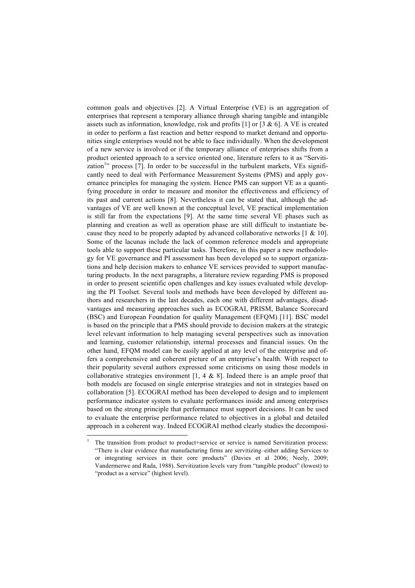common goals and objectives [2]. A Virtual Enterprise (VE) is an aggregation of enterprises that represent a temporary alliance through sharing tangible and intangible assets such as information, knowledge, risk and profits [1] or [3 & 6]. A VE is created in order to perform a fast reaction and better respond to market demand and opportunities single enterprises would not be able to face individually. When the development of a new service is involved or if the temporary alliance of enterprises shifts from a product oriented approach to a service oriented one, literature refers to it as "Servitization<sup>1</sup><sup>2</sup> process [7]. In order to be successful in the turbulent markets, VEs significantly need to deal with Performance Measurement Systems (PMS) and apply governance principles for managing the system. Hence PMS can support VE as a quantifying procedure in order to measure and monitor the effectiveness and efficiency of its past and current actions [8]. Nevertheless it can be stated that, although the advantages of VE are well known at the conceptual level, VE practical implementation is still far from the expectations [9]. At the same time several VE phases such as planning and creation as well as operation phase are still difficult to instantiate because they need to be properly adapted by advanced collaborative networks [1 & 10]. Some of the lacunas include the lack of common reference models and appropriate tools able to support these particular tasks. Therefore, in this paper a new methodology for VE governance and PI assessment has been developed so to support organizations and help decision makers to enhance VE services provided to support manufacturing products. In the next paragraphs, a literature review regarding PMS is proposed in order to present scientific open challenges and key issues evaluated while developing the PI Toolset. Several tools and methods have been developed by different authors and researchers in the last decades, each one with different advantages, disadvantages and measuring approaches such as ECOGRAI, PRISM, Balance Scorecard (BSC) and European Foundation for quality Management (EFQM) [11]. BSC model is based on the principle that a PMS should provide to decision makers at the strategic level relevant information to help managing several perspectives such as innovation and learning, customer relationship, internal processes and financial issues. On the other hand, EFQM model can be easily applied at any level of the enterprise and offers a comprehensive and coherent picture of an enterprise's health. With respect to their popularity several authors expressed some criticisms on using those models in collaborative strategies environment  $[1, 4 \& 8]$ . Indeed there is an ample proof that both models are focused on single enterprise strategies and not in strategies based on collaboration [5]. ECOGRAI method has been developed to design and to implement performance indicator system to evaluate performances inside and among enterprises based on the strong principle that performance must support decisions. It can be used to evaluate the enterprise performance related to objectives in a global and detailed approach in a coherent way. Indeed ECOGRAI method clearly studies the decomposi-

<sup>&</sup>lt;sup>1</sup> The transition from product to product+service or service is named Servitization process: "There is clear evidence that manufacturing firms are servitizing–either adding Services to or integrating services in their core products" (Davies et al 2006; Neely, 2009; Vandermerwe and Rada, 1988). Servitization levels vary from "tangible product" (lowest) to "product as a service" (highest level).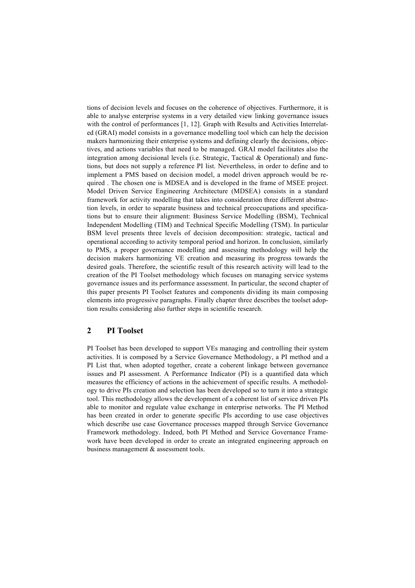tions of decision levels and focuses on the coherence of objectives. Furthermore, it is able to analyse enterprise systems in a very detailed view linking governance issues with the control of performances [1, 12]. Graph with Results and Activities Interrelated (GRAI) model consists in a governance modelling tool which can help the decision makers harmonizing their enterprise systems and defining clearly the decisions, objectives, and actions variables that need to be managed. GRAI model facilitates also the integration among decisional levels (i.e. Strategic, Tactical  $\&$  Operational) and functions, but does not supply a reference PI list. Nevertheless, in order to define and to implement a PMS based on decision model, a model driven approach would be required . The chosen one is MDSEA and is developed in the frame of MSEE project. Model Driven Service Engineering Architecture (MDSEA) consists in a standard framework for activity modelling that takes into consideration three different abstraction levels, in order to separate business and technical preoccupations and specifications but to ensure their alignment: Business Service Modelling (BSM), Technical Independent Modelling (TIM) and Technical Specific Modelling (TSM). In particular BSM level presents three levels of decision decomposition: strategic, tactical and operational according to activity temporal period and horizon. In conclusion, similarly to PMS, a proper governance modelling and assessing methodology will help the decision makers harmonizing VE creation and measuring its progress towards the desired goals. Therefore, the scientific result of this research activity will lead to the creation of the PI Toolset methodology which focuses on managing service systems governance issues and its performance assessment. In particular, the second chapter of this paper presents PI Toolset features and components dividing its main composing elements into progressive paragraphs. Finally chapter three describes the toolset adoption results considering also further steps in scientific research.

# **2 PI Toolset**

PI Toolset has been developed to support VEs managing and controlling their system activities. It is composed by a Service Governance Methodology, a PI method and a PI List that, when adopted together, create a coherent linkage between governance issues and PI assessment. A Performance Indicator (PI) is a quantified data which measures the efficiency of actions in the achievement of specific results. A methodology to drive PIs creation and selection has been developed so to turn it into a strategic tool. This methodology allows the development of a coherent list of service driven PIs able to monitor and regulate value exchange in enterprise networks. The PI Method has been created in order to generate specific PIs according to use case objectives which describe use case Governance processes mapped through Service Governance Framework methodology. Indeed, both PI Method and Service Governance Framework have been developed in order to create an integrated engineering approach on business management & assessment tools.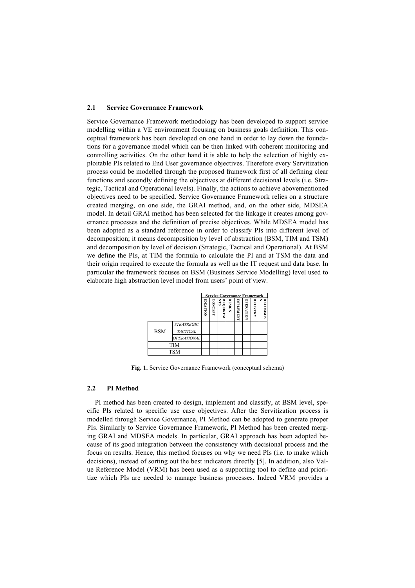### **2.1 Service Governance Framework**

Service Governance Framework methodology has been developed to support service modelling within a VE environment focusing on business goals definition. This conceptual framework has been developed on one hand in order to lay down the foundations for a governance model which can be then linked with coherent monitoring and controlling activities. On the other hand it is able to help the selection of highly exploitable PIs related to End User governance objectives. Therefore every Servitization process could be modelled through the proposed framework first of all defining clear functions and secondly defining the objectives at different decisional levels (i.e. Strategic, Tactical and Operational levels). Finally, the actions to achieve abovementioned objectives need to be specified. Service Governance Framework relies on a structure created merging, on one side, the GRAI method, and, on the other side, MDSEA model. In detail GRAI method has been selected for the linkage it creates among governance processes and the definition of precise objectives. While MDSEA model has been adopted as a standard reference in order to classify PIs into different level of decomposition; it means decomposition by level of abstraction (BSM, TIM and TSM) and decomposition by level of decision (Strategic, Tactical and Operational). At BSM we define the PIs, at TIM the formula to calculate the PI and at TSM the data and their origin required to execute the formula as well as the IT request and data base. In particular the framework focuses on BSM (Business Service Modelling) level used to elaborate high abstraction level model from users' point of view.



**Fig. 1.** Service Governance Framework (conceptual schema)

#### **2.2 PI Method**

PI method has been created to design, implement and classify, at BSM level, specific PIs related to specific use case objectives. After the Servitization process is modelled through Service Governance, PI Method can be adopted to generate proper PIs. Similarly to Service Governance Framework, PI Method has been created merging GRAI and MDSEA models. In particular, GRAI approach has been adopted because of its good integration between the consistency with decisional process and the focus on results. Hence, this method focuses on why we need PIs (i.e. to make which decisions), instead of sorting out the best indicators directly [5]. In addition, also Value Reference Model (VRM) has been used as a supporting tool to define and prioritize which PIs are needed to manage business processes. Indeed VRM provides a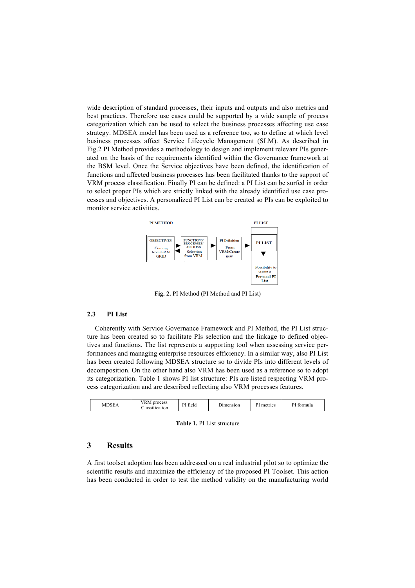wide description of standard processes, their inputs and outputs and also metrics and best practices. Therefore use cases could be supported by a wide sample of process categorization which can be used to select the business processes affecting use case strategy. MDSEA model has been used as a reference too, so to define at which level business processes affect Service Lifecycle Management (SLM). As described in Fig.2 PI Method provides a methodology to design and implement relevant PIs generated on the basis of the requirements identified within the Governance framework at the BSM level. Once the Service objectives have been defined, the identification of functions and affected business processes has been facilitated thanks to the support of VRM process classification. Finally PI can be defined: a PI List can be surfed in order to select proper PIs which are strictly linked with the already identified use case processes and objectives. A personalized PI List can be created so PIs can be exploited to monitor service activities.



**Fig. 2.** PI Method (PI Method and PI List)

### **2.3 PI List**

Coherently with Service Governance Framework and PI Method, the PI List structure has been created so to facilitate PIs selection and the linkage to defined objectives and functions. The list represents a supporting tool when assessing service performances and managing enterprise resources efficiency. In a similar way, also PI List has been created following MDSEA structure so to divide PIs into different levels of decomposition. On the other hand also VRM has been used as a reference so to adopt its categorization. Table 1 shows PI list structure: PIs are listed respecting VRM process categorization and are described reflecting also VRM processes features.

|  | <b>MDSEA</b> | $VRM$ .<br>process<br>lassification. | DT<br>field | Dimension | $\mathbf{r}$<br>metrics | DI<br>tormula |
|--|--------------|--------------------------------------|-------------|-----------|-------------------------|---------------|
|--|--------------|--------------------------------------|-------------|-----------|-------------------------|---------------|

|  |  |  | <b>Table 1. PI List structure</b> |
|--|--|--|-----------------------------------|
|--|--|--|-----------------------------------|

## **3 Results**

A first toolset adoption has been addressed on a real industrial pilot so to optimize the scientific results and maximize the efficiency of the proposed PI Toolset. This action has been conducted in order to test the method validity on the manufacturing world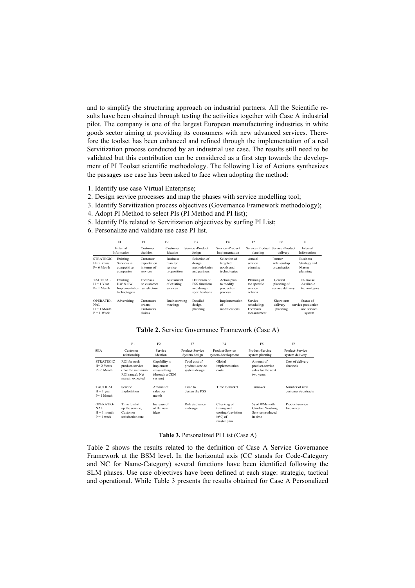and to simplify the structuring approach on industrial partners. All the Scientific results have been obtained through testing the activities together with Case A industrial pilot. The company is one of the largest European manufacturing industries in white goods sector aiming at providing its consumers with new advanced services. Therefore the toolset has been enhanced and refined through the implementation of a real Servitization process conducted by an industrial use case. The results still need to be validated but this contribution can be considered as a first step towards the development of PI Toolset scientific methodology. The following List of Actions synthesizes the passages use case has been asked to face when adopting the method:

- 1. Identify use case Virtual Enterprise;
- 2. Design service processes and map the phases with service modelling tool;
- 3. Identify Servitization process objectives (Governance Framework methodology);
- 4. Adopt PI Method to select PIs (PI Method and PI list);
- 5. Identify PIs related to Servitization objectives by surfing PI List;
- 6. Personalize and validate use case PI list.

|                                                     | EI                                                               | F1                                                 | F <sub>2</sub>                                        | F3                                                                    | F4                                                    | F <sub>5</sub>                                    | F <sub>6</sub>                             | II                                                       |
|-----------------------------------------------------|------------------------------------------------------------------|----------------------------------------------------|-------------------------------------------------------|-----------------------------------------------------------------------|-------------------------------------------------------|---------------------------------------------------|--------------------------------------------|----------------------------------------------------------|
|                                                     | External<br>Information                                          | Customer<br>decision                               | Customer<br>ideation                                  | Service -Product<br>design                                            | Service -Product<br>Implementation                    | Service - Product<br>planning                     | Service -Product<br>delivery               | Internal<br>Information                                  |
| <b>STRATEGIC</b><br>$H = 2$ Years<br>$P = 6$ Month  | Existing<br>Services in<br>competitive<br>companies              | Customer<br>expectation<br>in terms of<br>services | <b>Business</b><br>plan for<br>service<br>proposition | Selection of<br>design<br>methodologies<br>and partners               | Selection of<br>targeted<br>goods and<br>technologies | Annual<br>service<br>planning                     | Partner<br>relationship<br>organization    | <b>Business</b><br>Strategy and<br>Master<br>planning    |
| <b>TACTICAL</b><br>$H = 1$ Year<br>$P = 1$ Month    | Existing<br><b>HW &amp; SW</b><br>Implementation<br>technologies | Feedback<br>on customer<br>satisfaction            | Assessment<br>of existing<br>services                 | Definition of<br><b>PSS</b> functions<br>and design<br>specifications | Action plan<br>to modify<br>production<br>process     | Planning of<br>the specific<br>service<br>actions | General<br>planning of<br>service delivery | In-house<br>Available<br>technologies                    |
| OPER ATIO-<br>NAL.<br>$H = 1$ Month<br>$P = 1$ Week | Advertising                                                      | Customers<br>orders:<br>Customers<br>claims        | Brainstorming<br>meeting:                             | Detailed<br>design<br>planning                                        | Implementation<br>of<br>modifications                 | Service<br>scheduling:<br>Feedback<br>measurement | Short term<br>delivery<br>planning         | Status of<br>service production<br>and service<br>system |

**Table 2.** Service Governance Framework (Case A)

|                                                          | F1                                                                                          | F2                                                                       | F3                                                | F4                                                                            | F <sub>5</sub>                                                   | F <sub>6</sub>                       |
|----------------------------------------------------------|---------------------------------------------------------------------------------------------|--------------------------------------------------------------------------|---------------------------------------------------|-------------------------------------------------------------------------------|------------------------------------------------------------------|--------------------------------------|
| <b>ISEA</b>                                              | Customer<br>relationship                                                                    | Service<br>ideation                                                      | Product-Service<br>System design                  | Product-Service<br>system development                                         | Product-Service<br>system planning                               | Product-Service<br>system delivery   |
| <b>STRATEGIC</b><br>$H = 2$ Years<br>$P = 6$ Month       | ROI for each<br>product-service<br>(like the minimum)<br>ROI range); Net<br>margin expected | Capability to<br>implement<br>cross-selling<br>(through a CRM<br>system) | Total cost of<br>product-service<br>system design | Global<br>implementation<br>costs                                             | Amount of<br>product-service<br>sales for the next<br>two years  | Cost of delivery<br>channels         |
| <b>TACTICAL</b><br>$H = 1$ year<br>$P = 1$ Month         | Service<br>Exploitation                                                                     | Amount of<br>sales per<br>month                                          | Time to<br>design the PSS                         | Time to market                                                                | Turnover                                                         | Number of new<br>customers/contracts |
| OPERATIO-<br><b>NAL</b><br>$H = 1$ month<br>$P = 1$ week | Time to start<br>up the service,<br>Customer<br>satisfaction rate                           | Increase of<br>of the new<br>ideas                                       | Delay/advance<br>in design                        | Checking of<br>timing and<br>costing (deviation<br>$in\%$ ) of<br>master plan | % of WMs with<br>Carefree Washing<br>Service produced<br>in time | Product-service<br>frequency         |

#### **Table 3.** Personalized PI List (Case A)

Table 2 shows the results related to the definition of Case A Service Governance Framework at the BSM level. In the horizontal axis (CC stands for Code-Category and NC for Name-Category) several functions have been identified following the SLM phases. Use case objectives have been defined at each stage: strategic, tactical and operational. While Table 3 presents the results obtained for Case A Personalized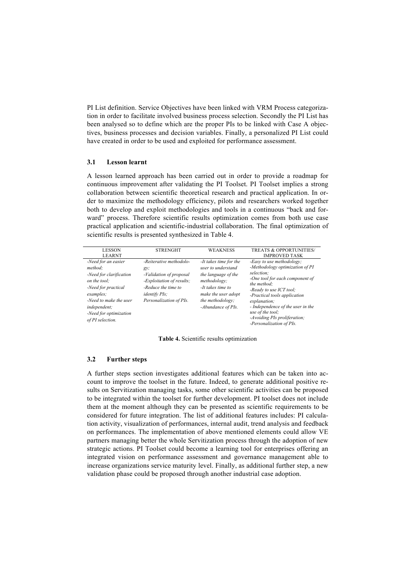PI List definition. Service Objectives have been linked with VRM Process categorization in order to facilitate involved business process selection. Secondly the PI List has been analysed so to define which are the proper PIs to be linked with Case A objectives, business processes and decision variables. Finally, a personalized PI List could have created in order to be used and exploited for performance assessment.

### **3.1 Lesson learnt**

A lesson learned approach has been carried out in order to provide a roadmap for continuous improvement after validating the PI Toolset. PI Toolset implies a strong collaboration between scientific theoretical research and practical application. In order to maximize the methodology efficiency, pilots and researchers worked together both to develop and exploit methodologies and tools in a continuous "back and forward" process. Therefore scientific results optimization comes from both use case practical application and scientific-industrial collaboration. The final optimization of scientific results is presented synthesized in Table 4.

| <b>LESSON</b><br><b>LEARNT</b>                                                                                                                                                                        | <b>STRENGHT</b>                                                                                                                                                             | <b>WEAKNESS</b>                                                                                                                                                             | <b>TREATS &amp; OPPORTUNITIES/</b><br><b>IMPROVED TASK</b>                                                                                                                                                                                                                                                                   |
|-------------------------------------------------------------------------------------------------------------------------------------------------------------------------------------------------------|-----------------------------------------------------------------------------------------------------------------------------------------------------------------------------|-----------------------------------------------------------------------------------------------------------------------------------------------------------------------------|------------------------------------------------------------------------------------------------------------------------------------------------------------------------------------------------------------------------------------------------------------------------------------------------------------------------------|
| -Need for an easier<br>method:<br>-Need for clarification<br>on the tool:<br>-Need for practical<br>examples:<br>-Need to make the user<br>independent:<br>-Need for optimization<br>of PI selection. | -Reiterative methodolo-<br>gy;<br>-Validation of proposal<br>- <i>Exploitation of results</i> ;<br>$-Reduce$ the time to<br><i>identify PIs:</i><br>Personalization of PIs. | -It takes time for the<br>user to understand<br>the language of the<br>methodology;<br>$-It takes time to$<br>make the user adopt<br>the methodology;<br>-Abundance of PIs. | -Easy to use methodology;<br>-Methodology optimization of PI<br>selection:<br>-One tool for each component of<br>the method:<br>-Ready to use ICT tool:<br>-Practical tools application<br>explanation;<br>- Independence of the user in the<br>use of the tool:<br>-Avoiding PIs proliferation;<br>-Personalization of PIs. |

**Table 4.** Scientific results optimization

### **3.2 Further steps**

A further steps section investigates additional features which can be taken into account to improve the toolset in the future. Indeed, to generate additional positive results on Servitization managing tasks, some other scientific activities can be proposed to be integrated within the toolset for further development. PI toolset does not include them at the moment although they can be presented as scientific requirements to be considered for future integration. The list of additional features includes: PI calculation activity, visualization of performances, internal audit, trend analysis and feedback on performances. The implementation of above mentioned elements could allow VE partners managing better the whole Servitization process through the adoption of new strategic actions. PI Toolset could become a learning tool for enterprises offering an integrated vision on performance assessment and governance management able to increase organizations service maturity level. Finally, as additional further step, a new validation phase could be proposed through another industrial case adoption.